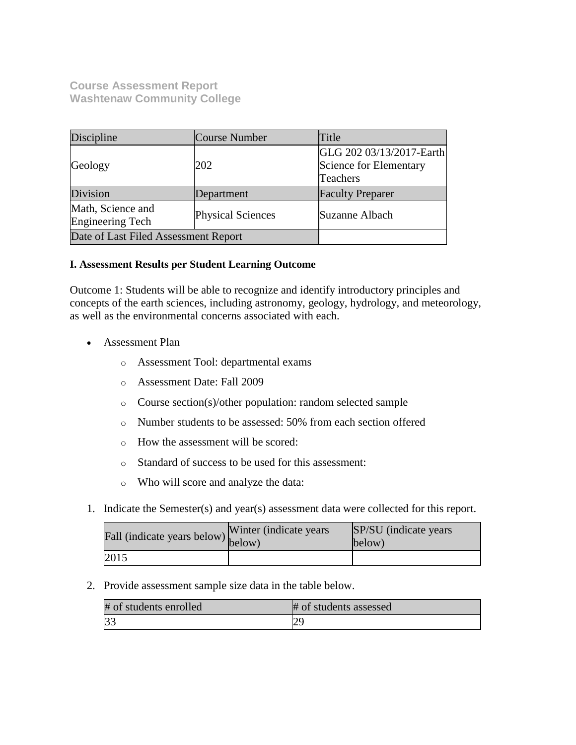**Course Assessment Report Washtenaw Community College**

| Discipline                                   | <b>Course Number</b>     | Title                                                          |
|----------------------------------------------|--------------------------|----------------------------------------------------------------|
| Geology                                      | 202                      | GLG 202 03/13/2017-Earth<br>Science for Elementary<br>Teachers |
| Division                                     | Department               | <b>Faculty Preparer</b>                                        |
| Math, Science and<br><b>Engineering Tech</b> | <b>Physical Sciences</b> | Suzanne Albach                                                 |
| Date of Last Filed Assessment Report         |                          |                                                                |

## **I. Assessment Results per Student Learning Outcome**

Outcome 1: Students will be able to recognize and identify introductory principles and concepts of the earth sciences, including astronomy, geology, hydrology, and meteorology, as well as the environmental concerns associated with each.

- Assessment Plan
	- o Assessment Tool: departmental exams
	- o Assessment Date: Fall 2009
	- o Course section(s)/other population: random selected sample
	- o Number students to be assessed: 50% from each section offered
	- o How the assessment will be scored:
	- o Standard of success to be used for this assessment:
	- o Who will score and analyze the data:
- 1. Indicate the Semester(s) and year(s) assessment data were collected for this report.

| r'all (indicate years below) below) | Winter (indicate years) | SP/SU (indicate years)<br>below) |
|-------------------------------------|-------------------------|----------------------------------|
| 2015                                |                         |                                  |

2. Provide assessment sample size data in the table below.

| # of students enrolled | # of students assessed   |
|------------------------|--------------------------|
|                        | $\overline{\phantom{a}}$ |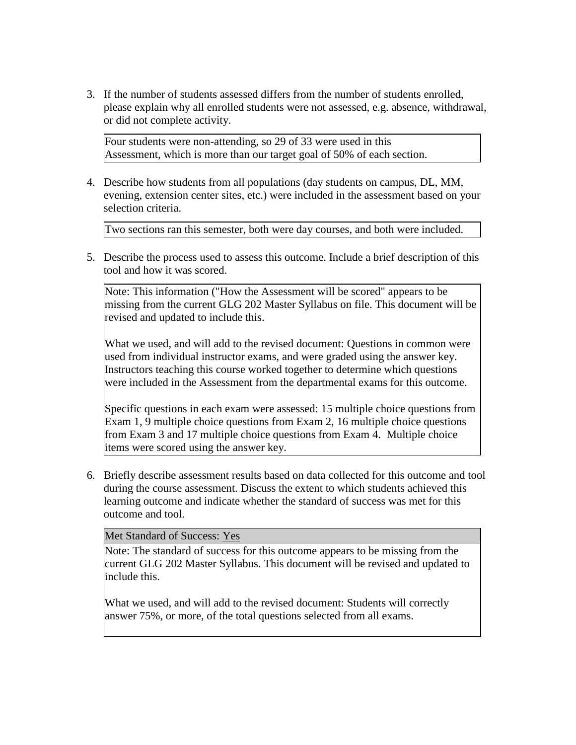3. If the number of students assessed differs from the number of students enrolled, please explain why all enrolled students were not assessed, e.g. absence, withdrawal, or did not complete activity.

Four students were non-attending, so 29 of 33 were used in this Assessment, which is more than our target goal of 50% of each section.

4. Describe how students from all populations (day students on campus, DL, MM, evening, extension center sites, etc.) were included in the assessment based on your selection criteria.

Two sections ran this semester, both were day courses, and both were included.

5. Describe the process used to assess this outcome. Include a brief description of this tool and how it was scored.

Note: This information ("How the Assessment will be scored" appears to be missing from the current GLG 202 Master Syllabus on file. This document will be revised and updated to include this.

What we used, and will add to the revised document: Questions in common were used from individual instructor exams, and were graded using the answer key. Instructors teaching this course worked together to determine which questions were included in the Assessment from the departmental exams for this outcome.

Specific questions in each exam were assessed: 15 multiple choice questions from Exam 1, 9 multiple choice questions from Exam 2, 16 multiple choice questions from Exam 3 and 17 multiple choice questions from Exam 4. Multiple choice items were scored using the answer key.

6. Briefly describe assessment results based on data collected for this outcome and tool during the course assessment. Discuss the extent to which students achieved this learning outcome and indicate whether the standard of success was met for this outcome and tool.

## Met Standard of Success: Yes

Note: The standard of success for this outcome appears to be missing from the current GLG 202 Master Syllabus. This document will be revised and updated to include this.

What we used, and will add to the revised document: Students will correctly answer 75%, or more, of the total questions selected from all exams.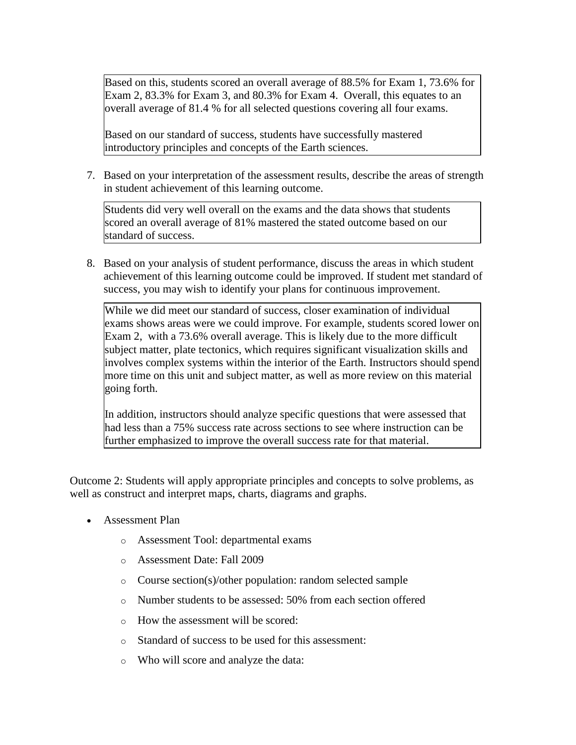Based on this, students scored an overall average of 88.5% for Exam 1, 73.6% for Exam 2, 83.3% for Exam 3, and 80.3% for Exam 4. Overall, this equates to an overall average of 81.4 % for all selected questions covering all four exams.

Based on our standard of success, students have successfully mastered introductory principles and concepts of the Earth sciences.

7. Based on your interpretation of the assessment results, describe the areas of strength in student achievement of this learning outcome.

Students did very well overall on the exams and the data shows that students scored an overall average of 81% mastered the stated outcome based on our standard of success.

8. Based on your analysis of student performance, discuss the areas in which student achievement of this learning outcome could be improved. If student met standard of success, you may wish to identify your plans for continuous improvement.

While we did meet our standard of success, closer examination of individual exams shows areas were we could improve. For example, students scored lower on Exam 2, with a 73.6% overall average. This is likely due to the more difficult subject matter, plate tectonics, which requires significant visualization skills and involves complex systems within the interior of the Earth. Instructors should spend more time on this unit and subject matter, as well as more review on this material going forth.

In addition, instructors should analyze specific questions that were assessed that had less than a 75% success rate across sections to see where instruction can be further emphasized to improve the overall success rate for that material.

Outcome 2: Students will apply appropriate principles and concepts to solve problems, as well as construct and interpret maps, charts, diagrams and graphs.

- Assessment Plan
	- o Assessment Tool: departmental exams
	- o Assessment Date: Fall 2009
	- o Course section(s)/other population: random selected sample
	- o Number students to be assessed: 50% from each section offered
	- o How the assessment will be scored:
	- o Standard of success to be used for this assessment:
	- o Who will score and analyze the data: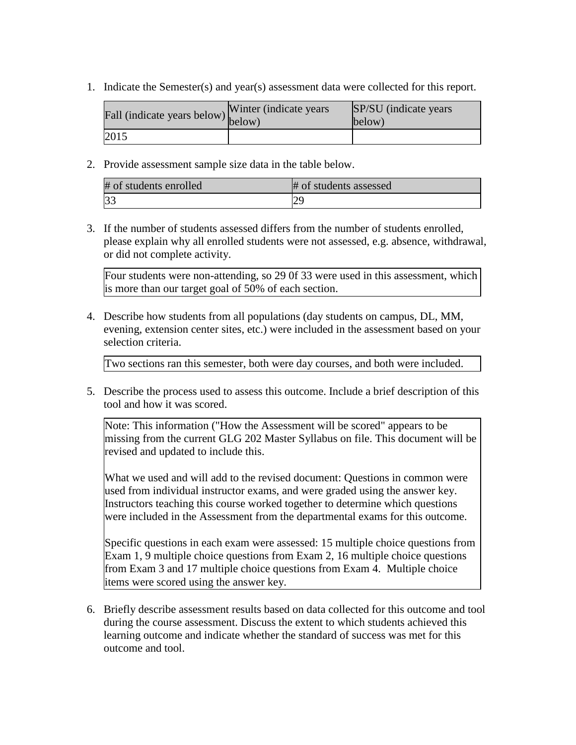1. Indicate the Semester(s) and year(s) assessment data were collected for this report.

| Fall (indicate years below) below) | Winter (indicate years) | SP/SU (indicate years)<br>below) |
|------------------------------------|-------------------------|----------------------------------|
| 2015                               |                         |                                  |

2. Provide assessment sample size data in the table below.

| # of students enrolled | # of students assessed |
|------------------------|------------------------|
| 33                     |                        |

3. If the number of students assessed differs from the number of students enrolled, please explain why all enrolled students were not assessed, e.g. absence, withdrawal, or did not complete activity.

Four students were non-attending, so 29 0f 33 were used in this assessment, which is more than our target goal of 50% of each section.

4. Describe how students from all populations (day students on campus, DL, MM, evening, extension center sites, etc.) were included in the assessment based on your selection criteria.

Two sections ran this semester, both were day courses, and both were included.

5. Describe the process used to assess this outcome. Include a brief description of this tool and how it was scored.

Note: This information ("How the Assessment will be scored" appears to be missing from the current GLG 202 Master Syllabus on file. This document will be revised and updated to include this.

What we used and will add to the revised document: Questions in common were used from individual instructor exams, and were graded using the answer key. Instructors teaching this course worked together to determine which questions were included in the Assessment from the departmental exams for this outcome.

Specific questions in each exam were assessed: 15 multiple choice questions from Exam 1, 9 multiple choice questions from Exam 2, 16 multiple choice questions from Exam 3 and 17 multiple choice questions from Exam 4. Multiple choice items were scored using the answer key.

6. Briefly describe assessment results based on data collected for this outcome and tool during the course assessment. Discuss the extent to which students achieved this learning outcome and indicate whether the standard of success was met for this outcome and tool.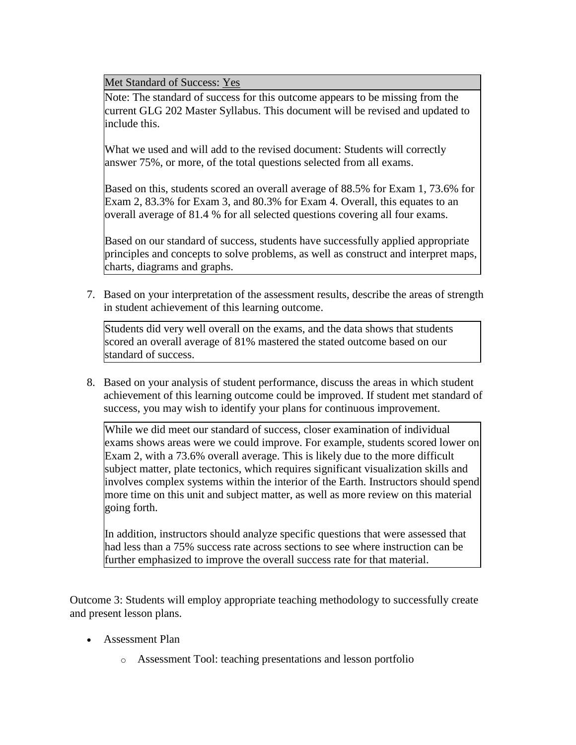Met Standard of Success: Yes

Note: The standard of success for this outcome appears to be missing from the current GLG 202 Master Syllabus. This document will be revised and updated to include this.

What we used and will add to the revised document: Students will correctly answer 75%, or more, of the total questions selected from all exams.

Based on this, students scored an overall average of 88.5% for Exam 1, 73.6% for Exam 2, 83.3% for Exam 3, and 80.3% for Exam 4. Overall, this equates to an overall average of 81.4 % for all selected questions covering all four exams.

Based on our standard of success, students have successfully applied appropriate principles and concepts to solve problems, as well as construct and interpret maps, charts, diagrams and graphs.

7. Based on your interpretation of the assessment results, describe the areas of strength in student achievement of this learning outcome.

Students did very well overall on the exams, and the data shows that students scored an overall average of 81% mastered the stated outcome based on our standard of success.

8. Based on your analysis of student performance, discuss the areas in which student achievement of this learning outcome could be improved. If student met standard of success, you may wish to identify your plans for continuous improvement.

While we did meet our standard of success, closer examination of individual exams shows areas were we could improve. For example, students scored lower on Exam 2, with a 73.6% overall average. This is likely due to the more difficult subject matter, plate tectonics, which requires significant visualization skills and involves complex systems within the interior of the Earth. Instructors should spend more time on this unit and subject matter, as well as more review on this material going forth.

In addition, instructors should analyze specific questions that were assessed that had less than a 75% success rate across sections to see where instruction can be further emphasized to improve the overall success rate for that material.

Outcome 3: Students will employ appropriate teaching methodology to successfully create and present lesson plans.

- Assessment Plan
	- o Assessment Tool: teaching presentations and lesson portfolio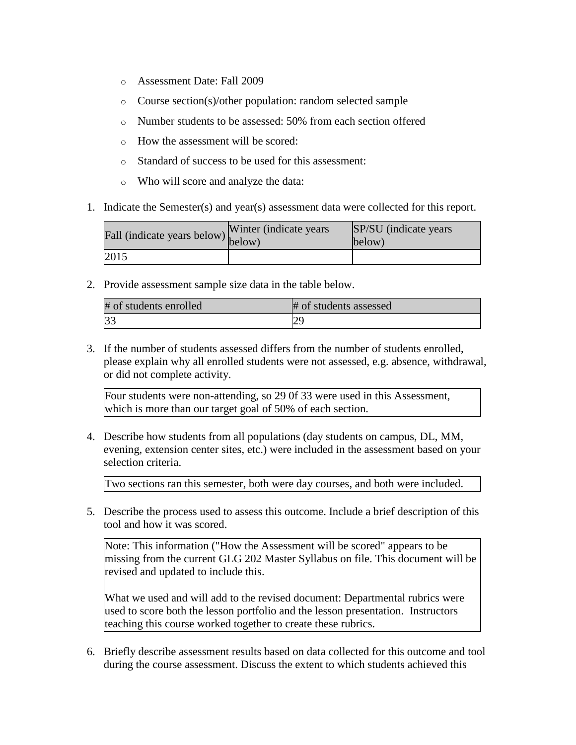- o Assessment Date: Fall 2009
- o Course section(s)/other population: random selected sample
- o Number students to be assessed: 50% from each section offered
- o How the assessment will be scored:
- o Standard of success to be used for this assessment:
- o Who will score and analyze the data:
- 1. Indicate the Semester(s) and year(s) assessment data were collected for this report.

| Fall (indicate years below) below) | Winter (indicate years) | SP/SU (indicate years)<br>below) |
|------------------------------------|-------------------------|----------------------------------|
| 2015                               |                         |                                  |

2. Provide assessment sample size data in the table below.

| # of students enrolled | # of students assessed |
|------------------------|------------------------|
| 3 <sup>3</sup>         |                        |

3. If the number of students assessed differs from the number of students enrolled, please explain why all enrolled students were not assessed, e.g. absence, withdrawal, or did not complete activity.

Four students were non-attending, so 29 0f 33 were used in this Assessment, which is more than our target goal of 50% of each section.

4. Describe how students from all populations (day students on campus, DL, MM, evening, extension center sites, etc.) were included in the assessment based on your selection criteria.

Two sections ran this semester, both were day courses, and both were included.

5. Describe the process used to assess this outcome. Include a brief description of this tool and how it was scored.

Note: This information ("How the Assessment will be scored" appears to be missing from the current GLG 202 Master Syllabus on file. This document will be revised and updated to include this.

What we used and will add to the revised document: Departmental rubrics were used to score both the lesson portfolio and the lesson presentation. Instructors teaching this course worked together to create these rubrics.

6. Briefly describe assessment results based on data collected for this outcome and tool during the course assessment. Discuss the extent to which students achieved this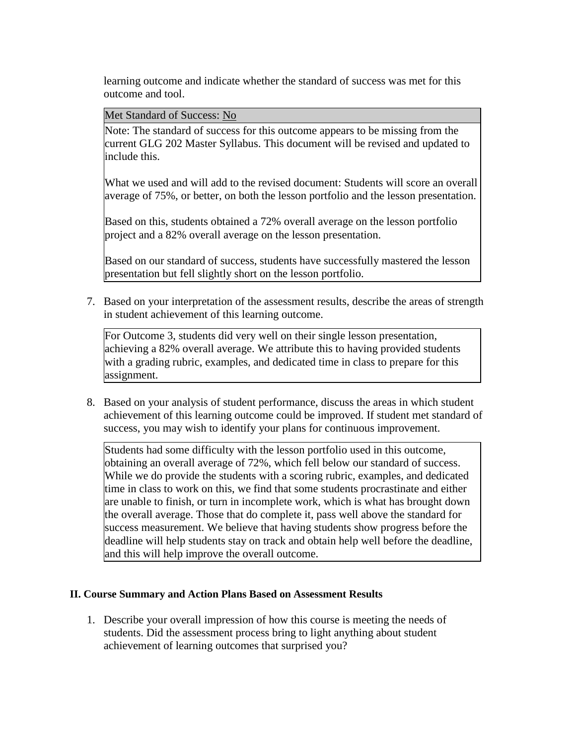learning outcome and indicate whether the standard of success was met for this outcome and tool.

Met Standard of Success: No

Note: The standard of success for this outcome appears to be missing from the current GLG 202 Master Syllabus. This document will be revised and updated to include this.

What we used and will add to the revised document: Students will score an overall average of 75%, or better, on both the lesson portfolio and the lesson presentation.

Based on this, students obtained a 72% overall average on the lesson portfolio project and a 82% overall average on the lesson presentation.

Based on our standard of success, students have successfully mastered the lesson presentation but fell slightly short on the lesson portfolio.

7. Based on your interpretation of the assessment results, describe the areas of strength in student achievement of this learning outcome.

For Outcome 3, students did very well on their single lesson presentation, achieving a 82% overall average. We attribute this to having provided students with a grading rubric, examples, and dedicated time in class to prepare for this assignment.

8. Based on your analysis of student performance, discuss the areas in which student achievement of this learning outcome could be improved. If student met standard of success, you may wish to identify your plans for continuous improvement.

Students had some difficulty with the lesson portfolio used in this outcome, obtaining an overall average of 72%, which fell below our standard of success. While we do provide the students with a scoring rubric, examples, and dedicated time in class to work on this, we find that some students procrastinate and either are unable to finish, or turn in incomplete work, which is what has brought down the overall average. Those that do complete it, pass well above the standard for success measurement. We believe that having students show progress before the deadline will help students stay on track and obtain help well before the deadline, and this will help improve the overall outcome.

## **II. Course Summary and Action Plans Based on Assessment Results**

1. Describe your overall impression of how this course is meeting the needs of students. Did the assessment process bring to light anything about student achievement of learning outcomes that surprised you?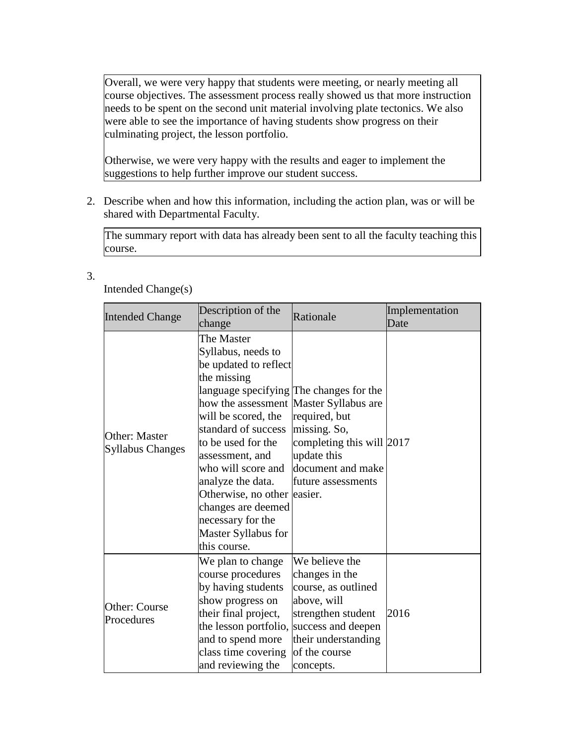Overall, we were very happy that students were meeting, or nearly meeting all course objectives. The assessment process really showed us that more instruction needs to be spent on the second unit material involving plate tectonics. We also were able to see the importance of having students show progress on their culminating project, the lesson portfolio.

Otherwise, we were very happy with the results and eager to implement the suggestions to help further improve our student success.

2. Describe when and how this information, including the action plan, was or will be shared with Departmental Faculty.

The summary report with data has already been sent to all the faculty teaching this course.

3.

Intended Change(s)

| <b>Intended Change</b>                          | Description of the<br>change                                                                                                                                                                                                                                                                                                                                                                                     | Rationale                                                                                                                                                               | Implementation<br>Date |
|-------------------------------------------------|------------------------------------------------------------------------------------------------------------------------------------------------------------------------------------------------------------------------------------------------------------------------------------------------------------------------------------------------------------------------------------------------------------------|-------------------------------------------------------------------------------------------------------------------------------------------------------------------------|------------------------|
| <b>Other: Master</b><br><b>Syllabus Changes</b> | The Master<br>Syllabus, needs to<br>be updated to reflect<br>the missing<br>language specifying The changes for the<br>how the assessment Master Syllabus are<br>will be scored, the<br>standard of success<br>to be used for the<br>assessment, and<br>who will score and<br>analyze the data.<br>Otherwise, no other easier.<br>changes are deemed<br>necessary for the<br>Master Syllabus for<br>this course. | required, but<br>missing. So,<br>completing this will 2017<br>update this<br>document and make<br>future assessments                                                    |                        |
| Other: Course<br>Procedures                     | We plan to change<br>course procedures<br>by having students<br>show progress on<br>their final project,<br>the lesson portfolio,<br>and to spend more<br>class time covering<br>and reviewing the                                                                                                                                                                                                               | We believe the<br>changes in the<br>course, as outlined<br>above, will<br>strengthen student<br>success and deepen<br>their understanding<br>of the course<br>concepts. | 2016                   |